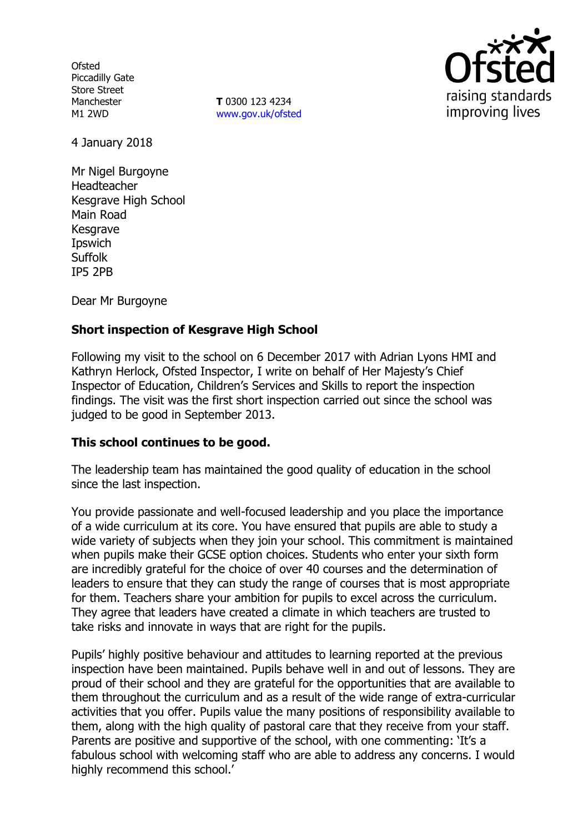**Ofsted** Piccadilly Gate Store Street Manchester M1 2WD

**T** 0300 123 4234 www.gov.uk/ofsted



4 January 2018

Mr Nigel Burgoyne Headteacher Kesgrave High School Main Road **Kesgrave** Ipswich **Suffolk** IP5 2PB

Dear Mr Burgoyne

# **Short inspection of Kesgrave High School**

Following my visit to the school on 6 December 2017 with Adrian Lyons HMI and Kathryn Herlock, Ofsted Inspector, I write on behalf of Her Majesty's Chief Inspector of Education, Children's Services and Skills to report the inspection findings. The visit was the first short inspection carried out since the school was judged to be good in September 2013.

### **This school continues to be good.**

The leadership team has maintained the good quality of education in the school since the last inspection.

You provide passionate and well-focused leadership and you place the importance of a wide curriculum at its core. You have ensured that pupils are able to study a wide variety of subjects when they join your school. This commitment is maintained when pupils make their GCSE option choices. Students who enter your sixth form are incredibly grateful for the choice of over 40 courses and the determination of leaders to ensure that they can study the range of courses that is most appropriate for them. Teachers share your ambition for pupils to excel across the curriculum. They agree that leaders have created a climate in which teachers are trusted to take risks and innovate in ways that are right for the pupils.

Pupils' highly positive behaviour and attitudes to learning reported at the previous inspection have been maintained. Pupils behave well in and out of lessons. They are proud of their school and they are grateful for the opportunities that are available to them throughout the curriculum and as a result of the wide range of extra-curricular activities that you offer. Pupils value the many positions of responsibility available to them, along with the high quality of pastoral care that they receive from your staff. Parents are positive and supportive of the school, with one commenting: 'It's a fabulous school with welcoming staff who are able to address any concerns. I would highly recommend this school.'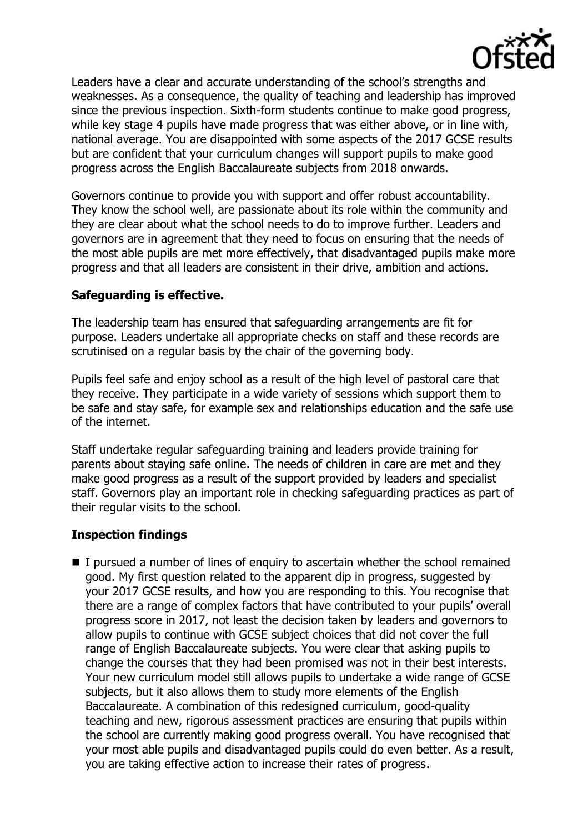

Leaders have a clear and accurate understanding of the school's strengths and weaknesses. As a consequence, the quality of teaching and leadership has improved since the previous inspection. Sixth-form students continue to make good progress, while key stage 4 pupils have made progress that was either above, or in line with, national average. You are disappointed with some aspects of the 2017 GCSE results but are confident that your curriculum changes will support pupils to make good progress across the English Baccalaureate subjects from 2018 onwards.

Governors continue to provide you with support and offer robust accountability. They know the school well, are passionate about its role within the community and they are clear about what the school needs to do to improve further. Leaders and governors are in agreement that they need to focus on ensuring that the needs of the most able pupils are met more effectively, that disadvantaged pupils make more progress and that all leaders are consistent in their drive, ambition and actions.

## **Safeguarding is effective.**

The leadership team has ensured that safeguarding arrangements are fit for purpose. Leaders undertake all appropriate checks on staff and these records are scrutinised on a regular basis by the chair of the governing body.

Pupils feel safe and enjoy school as a result of the high level of pastoral care that they receive. They participate in a wide variety of sessions which support them to be safe and stay safe, for example sex and relationships education and the safe use of the internet.

Staff undertake regular safeguarding training and leaders provide training for parents about staying safe online. The needs of children in care are met and they make good progress as a result of the support provided by leaders and specialist staff. Governors play an important role in checking safeguarding practices as part of their regular visits to the school.

# **Inspection findings**

I pursued a number of lines of enquiry to ascertain whether the school remained good. My first question related to the apparent dip in progress, suggested by your 2017 GCSE results, and how you are responding to this. You recognise that there are a range of complex factors that have contributed to your pupils' overall progress score in 2017, not least the decision taken by leaders and governors to allow pupils to continue with GCSE subject choices that did not cover the full range of English Baccalaureate subjects. You were clear that asking pupils to change the courses that they had been promised was not in their best interests. Your new curriculum model still allows pupils to undertake a wide range of GCSE subjects, but it also allows them to study more elements of the English Baccalaureate. A combination of this redesigned curriculum, good-quality teaching and new, rigorous assessment practices are ensuring that pupils within the school are currently making good progress overall. You have recognised that your most able pupils and disadvantaged pupils could do even better. As a result, you are taking effective action to increase their rates of progress.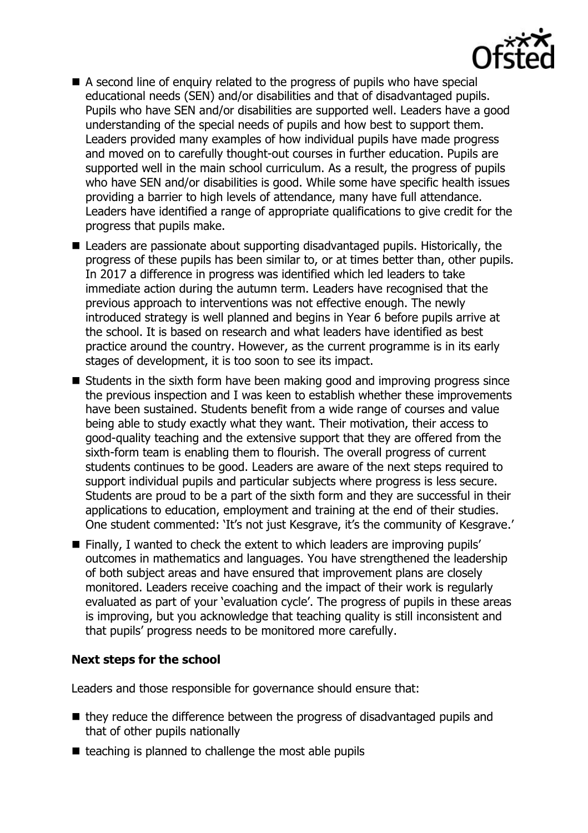

- A second line of enquiry related to the progress of pupils who have special educational needs (SEN) and/or disabilities and that of disadvantaged pupils. Pupils who have SEN and/or disabilities are supported well. Leaders have a good understanding of the special needs of pupils and how best to support them. Leaders provided many examples of how individual pupils have made progress and moved on to carefully thought-out courses in further education. Pupils are supported well in the main school curriculum. As a result, the progress of pupils who have SEN and/or disabilities is good. While some have specific health issues providing a barrier to high levels of attendance, many have full attendance. Leaders have identified a range of appropriate qualifications to give credit for the progress that pupils make.
- Leaders are passionate about supporting disadvantaged pupils. Historically, the progress of these pupils has been similar to, or at times better than, other pupils. In 2017 a difference in progress was identified which led leaders to take immediate action during the autumn term. Leaders have recognised that the previous approach to interventions was not effective enough. The newly introduced strategy is well planned and begins in Year 6 before pupils arrive at the school. It is based on research and what leaders have identified as best practice around the country. However, as the current programme is in its early stages of development, it is too soon to see its impact.
- Students in the sixth form have been making good and improving progress since the previous inspection and I was keen to establish whether these improvements have been sustained. Students benefit from a wide range of courses and value being able to study exactly what they want. Their motivation, their access to good-quality teaching and the extensive support that they are offered from the sixth-form team is enabling them to flourish. The overall progress of current students continues to be good. Leaders are aware of the next steps required to support individual pupils and particular subjects where progress is less secure. Students are proud to be a part of the sixth form and they are successful in their applications to education, employment and training at the end of their studies. One student commented: 'It's not just Kesgrave, it's the community of Kesgrave.'
- Finally, I wanted to check the extent to which leaders are improving pupils' outcomes in mathematics and languages. You have strengthened the leadership of both subject areas and have ensured that improvement plans are closely monitored. Leaders receive coaching and the impact of their work is regularly evaluated as part of your 'evaluation cycle'. The progress of pupils in these areas is improving, but you acknowledge that teaching quality is still inconsistent and that pupils' progress needs to be monitored more carefully.

### **Next steps for the school**

Leaders and those responsible for governance should ensure that:

- they reduce the difference between the progress of disadvantaged pupils and that of other pupils nationally
- $\blacksquare$  teaching is planned to challenge the most able pupils